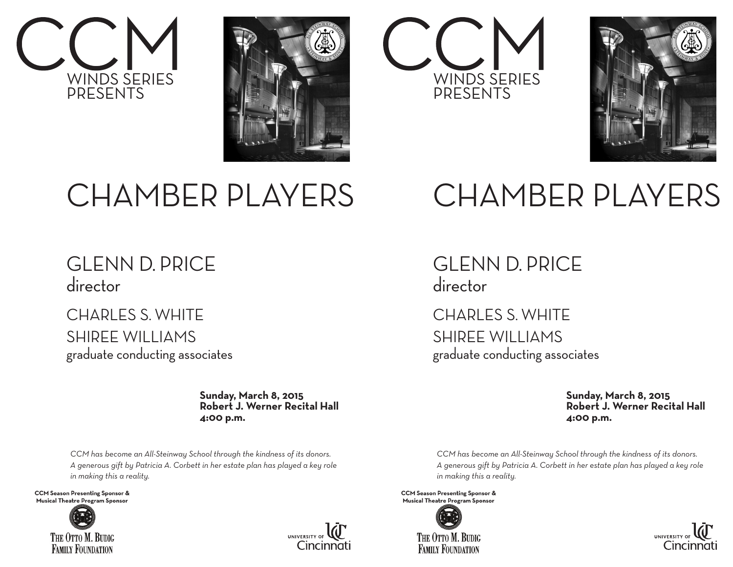







# CHAMBER PLAYERS

## CHAMBER PLAYERS

## GLENN D. PRICE director

### CHARLES S. WHITE SHIREE WILLIAMS

graduate conducting associates

 **Sunday, March 8, 2015 Robert J. Werner Recital Hall 4:00 p.m.**

*CCM has become an All-Steinway School through the kindness of its donors. A generous gift by Patricia A. Corbett in her estate plan has played a key role in making this a reality.*

**CCM Season Presenting Sponsor &** Musical Theatre Program Sponsor





GLENN D. PRICE director

CHARLES S. WHITE SHIREE WILLIAMS graduate conducting associates

> **Sunday, March 8, 2015 Robert J. Werner Recital Hall 4:00 p.m.**

*CCM has become an All-Steinway School through the kindness of its donors. A generous gift by Patricia A. Corbett in her estate plan has played a key role in making this a reality.*

**CCM Season Presenting Sponsor &** Musical Theatre Program Sponsor